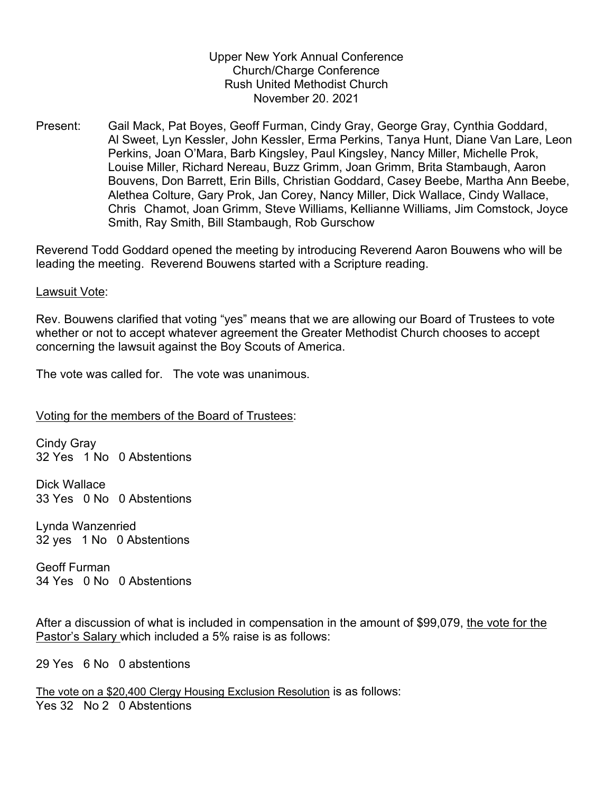Upper New York Annual Conference Church/Charge Conference Rush United Methodist Church November 20. 2021

Present: Gail Mack, Pat Boyes, Geoff Furman, Cindy Gray, George Gray, Cynthia Goddard, Al Sweet, Lyn Kessler, John Kessler, Erma Perkins, Tanya Hunt, Diane Van Lare, Leon Perkins, Joan O'Mara, Barb Kingsley, Paul Kingsley, Nancy Miller, Michelle Prok, Louise Miller, Richard Nereau, Buzz Grimm, Joan Grimm, Brita Stambaugh, Aaron Bouvens, Don Barrett, Erin Bills, Christian Goddard, Casey Beebe, Martha Ann Beebe, Alethea Colture, Gary Prok, Jan Corey, Nancy Miller, Dick Wallace, Cindy Wallace, Chris Chamot, Joan Grimm, Steve Williams, Kellianne Williams, Jim Comstock, Joyce Smith, Ray Smith, Bill Stambaugh, Rob Gurschow

Reverend Todd Goddard opened the meeting by introducing Reverend Aaron Bouwens who will be leading the meeting. Reverend Bouwens started with a Scripture reading.

## Lawsuit Vote:

Rev. Bouwens clarified that voting "yes" means that we are allowing our Board of Trustees to vote whether or not to accept whatever agreement the Greater Methodist Church chooses to accept concerning the lawsuit against the Boy Scouts of America.

The vote was called for. The vote was unanimous.

Voting for the members of the Board of Trustees:

Cindy Gray 32 Yes 1 No 0 Abstentions

Dick Wallace 33 Yes 0 No 0 Abstentions

Lynda Wanzenried 32 yes 1 No 0 Abstentions

Geoff Furman 34 Yes 0 No 0 Abstentions

After a discussion of what is included in compensation in the amount of \$99,079, the vote for the Pastor's Salary which included a 5% raise is as follows:

29 Yes 6 No 0 abstentions

The vote on a \$20,400 Clergy Housing Exclusion Resolution is as follows: Yes 32 No 2 0 Abstentions